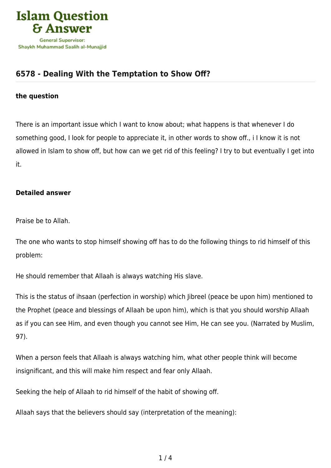

## **[6578 - Dealing With the Temptation to Show Off?](https://islamqa.com/en/answers/6578/dealing-with-the-temptation-to-show-off)**

## **the question**

There is an important issue which I want to know about; what happens is that whenever I do something good, I look for people to appreciate it, in other words to show off., i I know it is not allowed in Islam to show off, but how can we get rid of this feeling? I try to but eventually I get into it.

## **Detailed answer**

Praise be to Allah.

The one who wants to stop himself showing off has to do the following things to rid himself of this problem:

He should remember that Allaah is always watching His slave.

This is the status of ihsaan (perfection in worship) which Jibreel (peace be upon him) mentioned to the Prophet (peace and blessings of Allaah be upon him), which is that you should worship Allaah as if you can see Him, and even though you cannot see Him, He can see you. (Narrated by Muslim, 97).

When a person feels that Allaah is always watching him, what other people think will become insignificant, and this will make him respect and fear only Allaah.

Seeking the help of Allaah to rid himself of the habit of showing off.

Allaah says that the believers should say (interpretation of the meaning):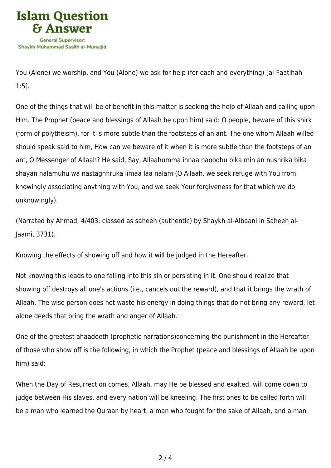

You (Alone) we worship, and You (Alone) we ask for help (for each and everything) [al-Faatihah 1:5].

One of the things that will be of benefit in this matter is seeking the help of Allaah and calling upon Him. The Prophet (peace and blessings of Allaah be upon him) said: O people, beware of this shirk (form of polytheism), for it is more subtle than the footsteps of an ant. The one whom Allaah willed should speak said to him, How can we beware of it when it is more subtle than the footsteps of an ant, O Messenger of Allaah? He said, Say, Allaahumma innaa naoodhu bika min an nushrika bika shayan nalamuhu wa nastaghfiruka limaa laa nalam (O Allaah, we seek refuge with You from knowingly associating anything with You, and we seek Your forgiveness for that which we do unknowingly).

(Narrated by Ahmad, 4/403; classed as saheeh (authentic) by Shaykh al-Albaani in Saheeh al-Jaami, 3731).

Knowing the effects of showing off and how it will be judged in the Hereafter.

Not knowing this leads to one falling into this sin or persisting in it. One should realize that showing off destroys all one's actions (i.e., cancels out the reward), and that it brings the wrath of Allaah. The wise person does not waste his energy in doing things that do not bring any reward, let alone deeds that bring the wrath and anger of Allaah.

One of the greatest ahaadeeth (prophetic narrations)concerning the punishment in the Hereafter of those who show off is the following, in which the Prophet (peace and blessings of Allaah be upon him) said:

When the Day of Resurrection comes, Allaah, may He be blessed and exalted, will come down to judge between His slaves, and every nation will be kneeling. The first ones to be called forth will be a man who learned the Quraan by heart, a man who fought for the sake of Allaah, and a man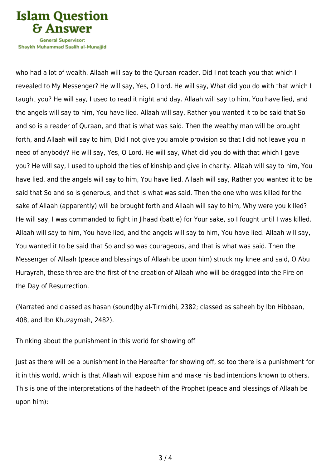

Shavkh Muhammad Saalih al-Munaiiid

who had a lot of wealth. Allaah will say to the Quraan-reader, Did I not teach you that which I revealed to My Messenger? He will say, Yes, O Lord. He will say, What did you do with that which I taught you? He will say, I used to read it night and day. Allaah will say to him, You have lied, and the angels will say to him, You have lied. Allaah will say, Rather you wanted it to be said that So and so is a reader of Quraan, and that is what was said. Then the wealthy man will be brought forth, and Allaah will say to him, Did I not give you ample provision so that I did not leave you in need of anybody? He will say, Yes, O Lord. He will say, What did you do with that which I gave you? He will say, I used to uphold the ties of kinship and give in charity. Allaah will say to him, You have lied, and the angels will say to him, You have lied. Allaah will say, Rather you wanted it to be said that So and so is generous, and that is what was said. Then the one who was killed for the sake of Allaah (apparently) will be brought forth and Allaah will say to him, Why were you killed? He will say, I was commanded to fight in Jihaad (battle) for Your sake, so I fought until I was killed. Allaah will say to him, You have lied, and the angels will say to him, You have lied. Allaah will say, You wanted it to be said that So and so was courageous, and that is what was said. Then the Messenger of Allaah (peace and blessings of Allaah be upon him) struck my knee and said, O Abu Hurayrah, these three are the first of the creation of Allaah who will be dragged into the Fire on the Day of Resurrection.

(Narrated and classed as hasan (sound)by al-Tirmidhi, 2382; classed as saheeh by Ibn Hibbaan, 408, and Ibn Khuzaymah, 2482).

Thinking about the punishment in this world for showing off

Just as there will be a punishment in the Hereafter for showing off, so too there is a punishment for it in this world, which is that Allaah will expose him and make his bad intentions known to others. This is one of the interpretations of the hadeeth of the Prophet (peace and blessings of Allaah be upon him):